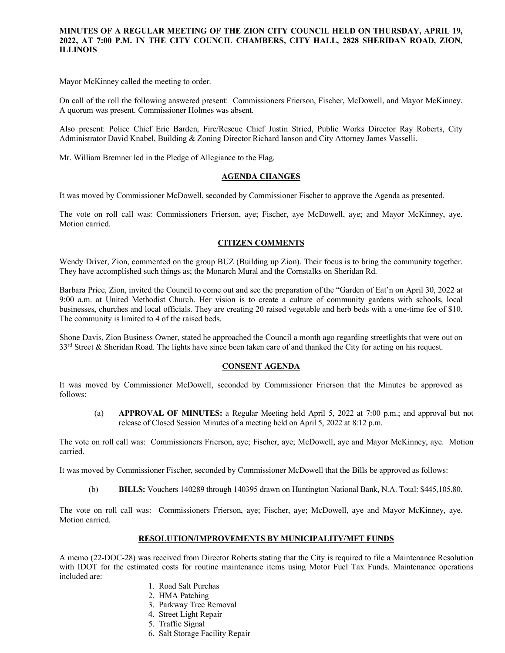# **MINUTES OF A REGULAR MEETING OF THE ZION CITY COUNCIL HELD ON THURSDAY, APRIL 19, 2022, AT 7:00 P.M. IN THE CITY COUNCIL CHAMBERS, CITY HALL, 2828 SHERIDAN ROAD, ZION, ILLINOIS**

. . . . . . . . .

Mayor McKinney called the meeting to order.

On call of the roll the following answered present: Commissioners Frierson, Fischer, McDowell, and Mayor McKinney. A quorum was present. Commissioner Holmes was absent.

Also present: Police Chief Eric Barden, Fire/Rescue Chief Justin Stried, Public Works Director Ray Roberts, City Administrator David Knabel, Building & Zoning Director Richard Ianson and City Attorney James Vasselli.

Mr. William Bremner led in the Pledge of Allegiance to the Flag.

### **AGENDA CHANGES**

It was moved by Commissioner McDowell, seconded by Commissioner Fischer to approve the Agenda as presented.

The vote on roll call was: Commissioners Frierson, aye; Fischer, aye McDowell, aye; and Mayor McKinney, aye. Motion carried.

## **CITIZEN COMMENTS**

Wendy Driver, Zion, commented on the group BUZ (Building up Zion). Their focus is to bring the community together. They have accomplished such things as; the Monarch Mural and the Cornstalks on Sheridan Rd.

Barbara Price, Zion, invited the Council to come out and see the preparation of the "Garden of Eat'n on April 30, 2022 at 9:00 a.m. at United Methodist Church. Her vision is to create a culture of community gardens with schools, local businesses, churches and local officials. They are creating 20 raised vegetable and herb beds with a one-time fee of \$10. The community is limited to 4 of the raised beds.

Shone Davis, Zion Business Owner, stated he approached the Council a month ago regarding streetlights that were out on  $33<sup>rd</sup>$  Street & Sheridan Road. The lights have since been taken care of and thanked the City for acting on his request.

## **CONSENT AGENDA**

It was moved by Commissioner McDowell, seconded by Commissioner Frierson that the Minutes be approved as follows:

(a) **APPROVAL OF MINUTES:** a Regular Meeting held April 5, 2022 at 7:00 p.m.; and approval but not release of Closed Session Minutes of a meeting held on April 5, 2022 at 8:12 p.m.

The vote on roll call was: Commissioners Frierson, aye; Fischer, aye; McDowell, aye and Mayor McKinney, aye. Motion carried.

It was moved by Commissioner Fischer, seconded by Commissioner McDowell that the Bills be approved as follows:

(b) **BILLS:** Vouchers 140289 through 140395 drawn on Huntington National Bank, N.A. Total: \$445,105.80.

The vote on roll call was: Commissioners Frierson, aye; Fischer, aye; McDowell, aye and Mayor McKinney, aye. Motion carried.

### **RESOLUTION/IMPROVEMENTS BY MUNICIPALITY/MFT FUNDS**

A memo (22-DOC-28) was received from Director Roberts stating that the City is required to file a Maintenance Resolution with IDOT for the estimated costs for routine maintenance items using Motor Fuel Tax Funds. Maintenance operations included are:

- 1. Road Salt Purchas
- 2. HMA Patching
- 3. Parkway Tree Removal
- 4. Street Light Repair
- 5. Traffic Signal
- 6. Salt Storage Facility Repair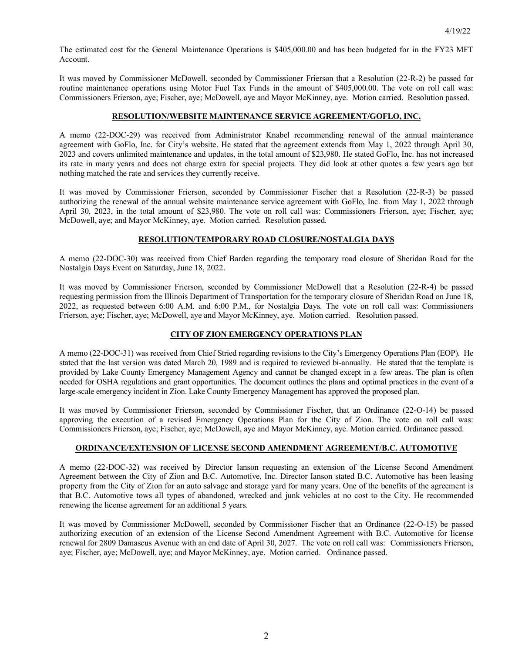The estimated cost for the General Maintenance Operations is \$405,000.00 and has been budgeted for in the FY23 MFT Account.

It was moved by Commissioner McDowell, seconded by Commissioner Frierson that a Resolution (22-R-2) be passed for routine maintenance operations using Motor Fuel Tax Funds in the amount of \$405,000.00. The vote on roll call was: Commissioners Frierson, aye; Fischer, aye; McDowell, aye and Mayor McKinney, aye. Motion carried. Resolution passed.

## **RESOLUTION/WEBSITE MAINTENANCE SERVICE AGREEMENT/GOFLO, INC.**

A memo (22-DOC-29) was received from Administrator Knabel recommending renewal of the annual maintenance agreement with GoFlo, Inc. for City's website. He stated that the agreement extends from May 1, 2022 through April 30, 2023 and covers unlimited maintenance and updates, in the total amount of \$23,980. He stated GoFlo, Inc. has not increased its rate in many years and does not charge extra for special projects. They did look at other quotes a few years ago but nothing matched the rate and services they currently receive.

It was moved by Commissioner Frierson, seconded by Commissioner Fischer that a Resolution (22-R-3) be passed authorizing the renewal of the annual website maintenance service agreement with GoFlo, Inc. from May 1, 2022 through April 30, 2023, in the total amount of \$23,980. The vote on roll call was: Commissioners Frierson, aye; Fischer, aye; McDowell, aye; and Mayor McKinney, aye. Motion carried. Resolution passed.

### **RESOLUTION/TEMPORARY ROAD CLOSURE/NOSTALGIA DAYS**

A memo (22-DOC-30) was received from Chief Barden regarding the temporary road closure of Sheridan Road for the Nostalgia Days Event on Saturday, June 18, 2022.

It was moved by Commissioner Frierson, seconded by Commissioner McDowell that a Resolution (22-R-4) be passed requesting permission from the Illinois Department of Transportation for the temporary closure of Sheridan Road on June 18, 2022, as requested between 6:00 A.M. and 6:00 P.M., for Nostalgia Days. The vote on roll call was: Commissioners Frierson, aye; Fischer, aye; McDowell, aye and Mayor McKinney, aye. Motion carried. Resolution passed.

#### **CITY OF ZION EMERGENCY OPERATIONS PLAN**

A memo (22-DOC-31) was received from Chief Stried regarding revisions to the City's Emergency Operations Plan (EOP). He stated that the last version was dated March 20, 1989 and is required to reviewed bi-annually. He stated that the template is provided by Lake County Emergency Management Agency and cannot be changed except in a few areas. The plan is often needed for OSHA regulations and grant opportunities. The document outlines the plans and optimal practices in the event of a large-scale emergency incident in Zion. Lake County Emergency Management has approved the proposed plan.

It was moved by Commissioner Frierson, seconded by Commissioner Fischer, that an Ordinance (22-O-14) be passed approving the execution of a revised Emergency Operations Plan for the City of Zion. The vote on roll call was: Commissioners Frierson, aye; Fischer, aye; McDowell, aye and Mayor McKinney, aye. Motion carried. Ordinance passed.

### **ORDINANCE/EXTENSION OF LICENSE SECOND AMENDMENT AGREEMENT/B.C. AUTOMOTIVE**

A memo (22-DOC-32) was received by Director Ianson requesting an extension of the License Second Amendment Agreement between the City of Zion and B.C. Automotive, Inc. Director Ianson stated B.C. Automotive has been leasing property from the City of Zion for an auto salvage and storage yard for many years. One of the benefits of the agreement is that B.C. Automotive tows all types of abandoned, wrecked and junk vehicles at no cost to the City. He recommended renewing the license agreement for an additional 5 years.

It was moved by Commissioner McDowell, seconded by Commissioner Fischer that an Ordinance (22-O-15) be passed authorizing execution of an extension of the License Second Amendment Agreement with B.C. Automotive for license renewal for 2809 Damascus Avenue with an end date of April 30, 2027. The vote on roll call was:Commissioners Frierson, aye; Fischer, aye; McDowell, aye; and Mayor McKinney, aye. Motion carried. Ordinance passed.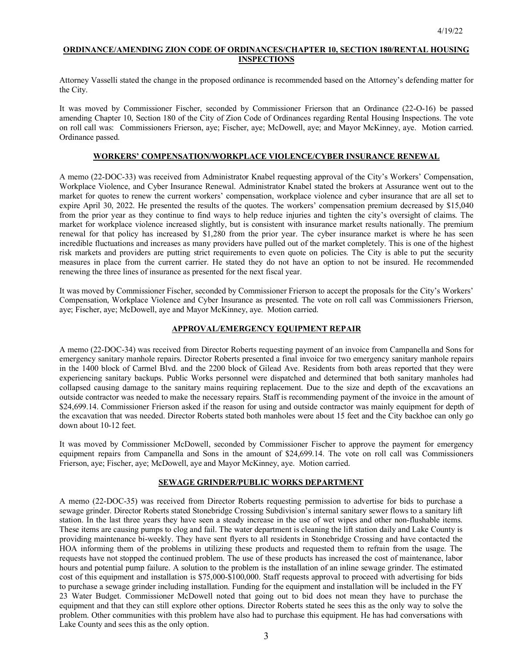## **ORDINANCE/AMENDING ZION CODE OF ORDINANCES/CHAPTER 10, SECTION 180/RENTAL HOUSING INSPECTIONS**

Attorney Vasselli stated the change in the proposed ordinance is recommended based on the Attorney's defending matter for the City.

It was moved by Commissioner Fischer, seconded by Commissioner Frierson that an Ordinance (22-O-16) be passed amending Chapter 10, Section 180 of the City of Zion Code of Ordinances regarding Rental Housing Inspections. The vote on roll call was:Commissioners Frierson, aye; Fischer, aye; McDowell, aye; and Mayor McKinney, aye. Motion carried. Ordinance passed.

## **WORKERS' COMPENSATION/WORKPLACE VIOLENCE/CYBER INSURANCE RENEWAL**

A memo (22-DOC-33) was received from Administrator Knabel requesting approval of the City's Workers' Compensation, Workplace Violence, and Cyber Insurance Renewal. Administrator Knabel stated the brokers at Assurance went out to the market for quotes to renew the current workers' compensation, workplace violence and cyber insurance that are all set to expire April 30, 2022. He presented the results of the quotes. The workers' compensation premium decreased by \$15,040 from the prior year as they continue to find ways to help reduce injuries and tighten the city's oversight of claims. The market for workplace violence increased slightly, but is consistent with insurance market results nationally. The premium renewal for that policy has increased by \$1,280 from the prior year. The cyber insurance market is where he has seen incredible fluctuations and increases as many providers have pulled out of the market completely. This is one of the highest risk markets and providers are putting strict requirements to even quote on policies. The City is able to put the security measures in place from the current carrier. He stated they do not have an option to not be insured. He recommended renewing the three lines of insurance as presented for the next fiscal year.

It was moved by Commissioner Fischer, seconded by Commissioner Frierson to accept the proposals for the City's Workers' Compensation, Workplace Violence and Cyber Insurance as presented. The vote on roll call was Commissioners Frierson, aye; Fischer, aye; McDowell, aye and Mayor McKinney, aye. Motion carried.

#### **APPROVAL/EMERGENCY EQUIPMENT REPAIR**

A memo (22-DOC-34) was received from Director Roberts requesting payment of an invoice from Campanella and Sons for emergency sanitary manhole repairs. Director Roberts presented a final invoice for two emergency sanitary manhole repairs in the 1400 block of Carmel Blvd. and the 2200 block of Gilead Ave. Residents from both areas reported that they were experiencing sanitary backups. Public Works personnel were dispatched and determined that both sanitary manholes had collapsed causing damage to the sanitary mains requiring replacement. Due to the size and depth of the excavations an outside contractor was needed to make the necessary repairs. Staff is recommending payment of the invoice in the amount of \$24,699.14. Commissioner Frierson asked if the reason for using and outside contractor was mainly equipment for depth of the excavation that was needed. Director Roberts stated both manholes were about 15 feet and the City backhoe can only go down about 10-12 feet.

It was moved by Commissioner McDowell, seconded by Commissioner Fischer to approve the payment for emergency equipment repairs from Campanella and Sons in the amount of \$24,699.14. The vote on roll call was Commissioners Frierson, aye; Fischer, aye; McDowell, aye and Mayor McKinney, aye. Motion carried.

#### **SEWAGE GRINDER/PUBLIC WORKS DEPARTMENT**

A memo (22-DOC-35) was received from Director Roberts requesting permission to advertise for bids to purchase a sewage grinder. Director Roberts stated Stonebridge Crossing Subdivision's internal sanitary sewer flows to a sanitary lift station. In the last three years they have seen a steady increase in the use of wet wipes and other non-flushable items. These items are causing pumps to clog and fail. The water department is cleaning the lift station daily and Lake County is providing maintenance bi-weekly. They have sent flyers to all residents in Stonebridge Crossing and have contacted the HOA informing them of the problems in utilizing these products and requested them to refrain from the usage. The requests have not stopped the continued problem. The use of these products has increased the cost of maintenance, labor hours and potential pump failure. A solution to the problem is the installation of an inline sewage grinder. The estimated cost of this equipment and installation is \$75,000-\$100,000. Staff requests approval to proceed with advertising for bids to purchase a sewage grinder including installation. Funding for the equipment and installation will be included in the FY 23 Water Budget. Commissioner McDowell noted that going out to bid does not mean they have to purchase the equipment and that they can still explore other options. Director Roberts stated he sees this as the only way to solve the problem. Other communities with this problem have also had to purchase this equipment. He has had conversations with Lake County and sees this as the only option.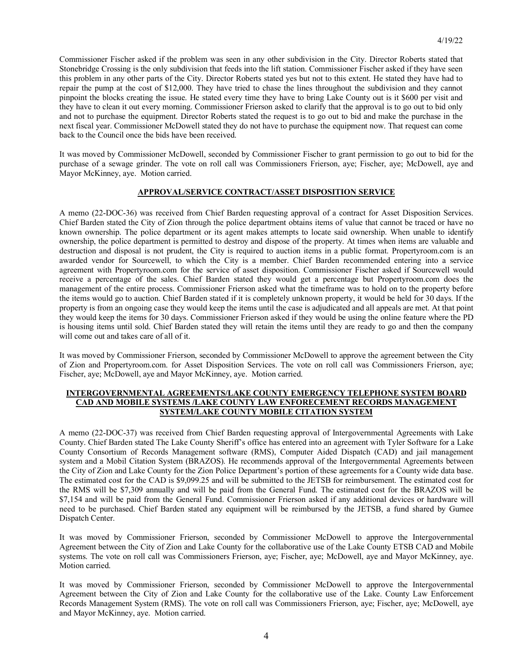Commissioner Fischer asked if the problem was seen in any other subdivision in the City. Director Roberts stated that Stonebridge Crossing is the only subdivision that feeds into the lift station. Commissioner Fischer asked if they have seen this problem in any other parts of the City. Director Roberts stated yes but not to this extent. He stated they have had to repair the pump at the cost of \$12,000. They have tried to chase the lines throughout the subdivision and they cannot pinpoint the blocks creating the issue. He stated every time they have to bring Lake County out is it \$600 per visit and they have to clean it out every morning. Commissioner Frierson asked to clarify that the approval is to go out to bid only and not to purchase the equipment. Director Roberts stated the request is to go out to bid and make the purchase in the next fiscal year. Commissioner McDowell stated they do not have to purchase the equipment now. That request can come back to the Council once the bids have been received.

It was moved by Commissioner McDowell, seconded by Commissioner Fischer to grant permission to go out to bid for the purchase of a sewage grinder. The vote on roll call was Commissioners Frierson, aye; Fischer, aye; McDowell, aye and Mayor McKinney, aye. Motion carried.

### **APPROVAL/SERVICE CONTRACT/ASSET DISPOSITION SERVICE**

A memo (22-DOC-36) was received from Chief Barden requesting approval of a contract for Asset Disposition Services. Chief Barden stated the City of Zion through the police department obtains items of value that cannot be traced or have no known ownership. The police department or its agent makes attempts to locate said ownership. When unable to identify ownership, the police department is permitted to destroy and dispose of the property. At times when items are valuable and destruction and disposal is not prudent, the City is required to auction items in a public format. Propertyroom.com is an awarded vendor for Sourcewell, to which the City is a member. Chief Barden recommended entering into a service agreement with Propertyroom.com for the service of asset disposition. Commissioner Fischer asked if Sourcewell would receive a percentage of the sales. Chief Barden stated they would get a percentage but Propertyroom.com does the management of the entire process. Commissioner Frierson asked what the timeframe was to hold on to the property before the items would go to auction. Chief Barden stated if it is completely unknown property, it would be held for 30 days. If the property is from an ongoing case they would keep the items until the case is adjudicated and all appeals are met. At that point they would keep the items for 30 days. Commissioner Frierson asked if they would be using the online feature where the PD is housing items until sold. Chief Barden stated they will retain the items until they are ready to go and then the company will come out and takes care of all of it.

It was moved by Commissioner Frierson, seconded by Commissioner McDowell to approve the agreement between the City of Zion and Propertyroom.com. for Asset Disposition Services. The vote on roll call was Commissioners Frierson, aye; Fischer, aye; McDowell, aye and Mayor McKinney, aye. Motion carried.

### **INTERGOVERNMENTAL AGREEMENTS/LAKE COUNTY EMERGENCY TELEPHONE SYSTEM BOARD CAD AND MOBILE SYSTEMS /LAKE COUNTY LAW ENFORECEMENT RECORDS MANAGEMENT SYSTEM/LAKE COUNTY MOBILE CITATION SYSTEM**

A memo (22-DOC-37) was received from Chief Barden requesting approval of Intergovernmental Agreements with Lake County. Chief Barden stated The Lake County Sheriff's office has entered into an agreement with Tyler Software for a Lake County Consortium of Records Management software (RMS), Computer Aided Dispatch (CAD) and jail management system and a Mobil Citation System (BRAZOS). He recommends approval of the Intergovernmental Agreements between the City of Zion and Lake County for the Zion Police Department's portion of these agreements for a County wide data base. The estimated cost for the CAD is \$9,099.25 and will be submitted to the JETSB for reimbursement. The estimated cost for the RMS will be \$7,309 annually and will be paid from the General Fund. The estimated cost for the BRAZOS will be \$7,154 and will be paid from the General Fund. Commissioner Frierson asked if any additional devices or hardware will need to be purchased. Chief Barden stated any equipment will be reimbursed by the JETSB, a fund shared by Gurnee Dispatch Center.

It was moved by Commissioner Frierson, seconded by Commissioner McDowell to approve the Intergovernmental Agreement between the City of Zion and Lake County for the collaborative use of the Lake County ETSB CAD and Mobile systems. The vote on roll call was Commissioners Frierson, aye; Fischer, aye; McDowell, aye and Mayor McKinney, aye. Motion carried.

It was moved by Commissioner Frierson, seconded by Commissioner McDowell to approve the Intergovernmental Agreement between the City of Zion and Lake County for the collaborative use of the Lake. County Law Enforcement Records Management System (RMS). The vote on roll call was Commissioners Frierson, aye; Fischer, aye; McDowell, aye and Mayor McKinney, aye. Motion carried.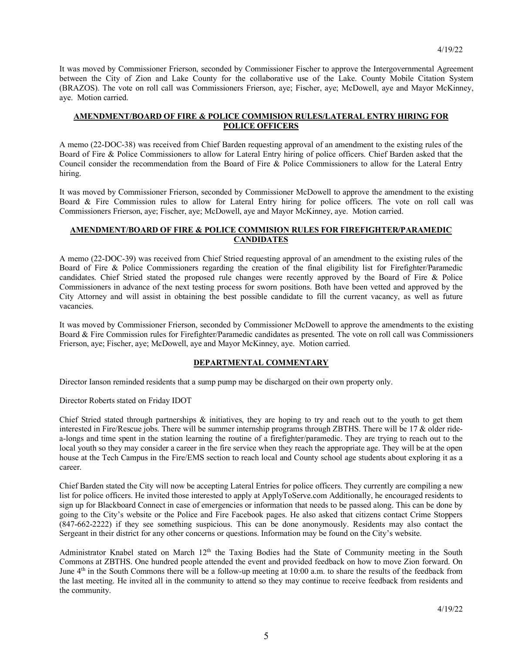It was moved by Commissioner Frierson, seconded by Commissioner Fischer to approve the Intergovernmental Agreement between the City of Zion and Lake County for the collaborative use of the Lake. County Mobile Citation System (BRAZOS). The vote on roll call was Commissioners Frierson, aye; Fischer, aye; McDowell, aye and Mayor McKinney, aye. Motion carried.

## **AMENDMENT/BOARD OF FIRE & POLICE COMMISION RULES/LATERAL ENTRY HIRING FOR POLICE OFFICERS**

A memo (22-DOC-38) was received from Chief Barden requesting approval of an amendment to the existing rules of the Board of Fire & Police Commissioners to allow for Lateral Entry hiring of police officers. Chief Barden asked that the Council consider the recommendation from the Board of Fire & Police Commissioners to allow for the Lateral Entry hiring.

It was moved by Commissioner Frierson, seconded by Commissioner McDowell to approve the amendment to the existing Board & Fire Commission rules to allow for Lateral Entry hiring for police officers. The vote on roll call was Commissioners Frierson, aye; Fischer, aye; McDowell, aye and Mayor McKinney, aye. Motion carried.

## **AMENDMENT/BOARD OF FIRE & POLICE COMMISION RULES FOR FIREFIGHTER/PARAMEDIC CANDIDATES**

A memo (22-DOC-39) was received from Chief Stried requesting approval of an amendment to the existing rules of the Board of Fire & Police Commissioners regarding the creation of the final eligibility list for Firefighter/Paramedic candidates. Chief Stried stated the proposed rule changes were recently approved by the Board of Fire & Police Commissioners in advance of the next testing process for sworn positions. Both have been vetted and approved by the City Attorney and will assist in obtaining the best possible candidate to fill the current vacancy, as well as future vacancies.

It was moved by Commissioner Frierson, seconded by Commissioner McDowell to approve the amendments to the existing Board & Fire Commission rules for Firefighter/Paramedic candidates as presented. The vote on roll call was Commissioners Frierson, aye; Fischer, aye; McDowell, aye and Mayor McKinney, aye. Motion carried.

## **DEPARTMENTAL COMMENTARY**

Director Ianson reminded residents that a sump pump may be discharged on their own property only.

Director Roberts stated on Friday IDOT

Chief Stried stated through partnerships & initiatives, they are hoping to try and reach out to the youth to get them interested in Fire/Rescue jobs. There will be summer internship programs through ZBTHS. There will be 17 & older ridea-longs and time spent in the station learning the routine of a firefighter/paramedic. They are trying to reach out to the local youth so they may consider a career in the fire service when they reach the appropriate age. They will be at the open house at the Tech Campus in the Fire/EMS section to reach local and County school age students about exploring it as a career.

Chief Barden stated the City will now be accepting Lateral Entries for police officers. They currently are compiling a new list for police officers. He invited those interested to apply at ApplyToServe.com Additionally, he encouraged residents to sign up for Blackboard Connect in case of emergencies or information that needs to be passed along. This can be done by going to the City's website or the Police and Fire Facebook pages. He also asked that citizens contact Crime Stoppers (847-662-2222) if they see something suspicious. This can be done anonymously. Residents may also contact the Sergeant in their district for any other concerns or questions. Information may be found on the City's website.

Administrator Knabel stated on March 12<sup>th</sup> the Taxing Bodies had the State of Community meeting in the South Commons at ZBTHS. One hundred people attended the event and provided feedback on how to move Zion forward. On June 4<sup>th</sup> in the South Commons there will be a follow-up meeting at 10:00 a.m. to share the results of the feedback from the last meeting. He invited all in the community to attend so they may continue to receive feedback from residents and the community.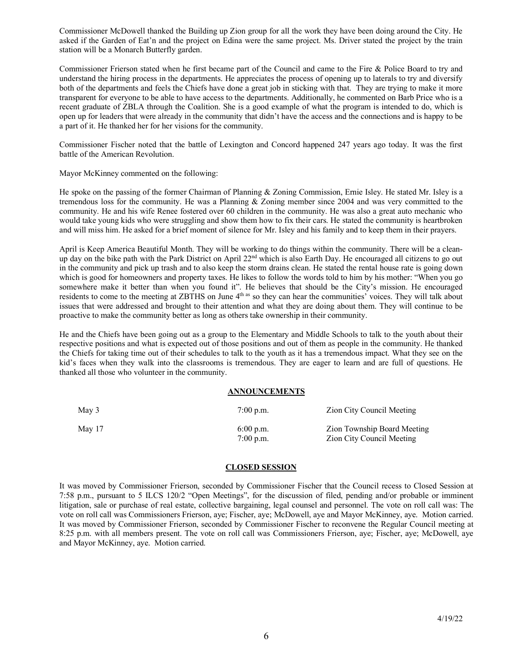Commissioner McDowell thanked the Building up Zion group for all the work they have been doing around the City. He asked if the Garden of Eat'n and the project on Edina were the same project. Ms. Driver stated the project by the train station will be a Monarch Butterfly garden.

Commissioner Frierson stated when he first became part of the Council and came to the Fire & Police Board to try and understand the hiring process in the departments. He appreciates the process of opening up to laterals to try and diversify both of the departments and feels the Chiefs have done a great job in sticking with that. They are trying to make it more transparent for everyone to be able to have access to the departments. Additionally, he commented on Barb Price who is a recent graduate of ZBLA through the Coalition. She is a good example of what the program is intended to do, which is open up for leaders that were already in the community that didn't have the access and the connections and is happy to be a part of it. He thanked her for her visions for the community.

Commissioner Fischer noted that the battle of Lexington and Concord happened 247 years ago today. It was the first battle of the American Revolution.

Mayor McKinney commented on the following:

He spoke on the passing of the former Chairman of Planning & Zoning Commission, Ernie Isley. He stated Mr. Isley is a tremendous loss for the community. He was a Planning & Zoning member since 2004 and was very committed to the community. He and his wife Renee fostered over 60 children in the community. He was also a great auto mechanic who would take young kids who were struggling and show them how to fix their cars. He stated the community is heartbroken and will miss him. He asked for a brief moment of silence for Mr. Isley and his family and to keep them in their prayers.

April is Keep America Beautiful Month. They will be working to do things within the community. There will be a cleanup day on the bike path with the Park District on April  $22<sup>nd</sup>$  which is also Earth Day. He encouraged all citizens to go out in the community and pick up trash and to also keep the storm drains clean. He stated the rental house rate is going down which is good for homeowners and property taxes. He likes to follow the words told to him by his mother: "When you go somewhere make it better than when you found it". He believes that should be the City's mission. He encouraged residents to come to the meeting at ZBTHS on June 4<sup>th as</sup> so they can hear the communities' voices. They will talk about issues that were addressed and brought to their attention and what they are doing about them. They will continue to be proactive to make the community better as long as others take ownership in their community.

He and the Chiefs have been going out as a group to the Elementary and Middle Schools to talk to the youth about their respective positions and what is expected out of those positions and out of them as people in the community. He thanked the Chiefs for taking time out of their schedules to talk to the youth as it has a tremendous impact. What they see on the kid's faces when they walk into the classrooms is tremendous. They are eager to learn and are full of questions. He thanked all those who volunteer in the community.

#### **ANNOUNCEMENTS**

| May 3  | $7:00$ p.m.                | Zion City Council Meeting                                |
|--------|----------------------------|----------------------------------------------------------|
| May 17 | $6:00$ p.m.<br>$7:00$ p.m. | Zion Township Board Meeting<br>Zion City Council Meeting |

## **CLOSED SESSION**

It was moved by Commissioner Frierson, seconded by Commissioner Fischer that the Council recess to Closed Session at 7:58 p.m., pursuant to 5 ILCS 120/2 "Open Meetings", for the discussion of filed, pending and/or probable or imminent litigation, sale or purchase of real estate, collective bargaining, legal counsel and personnel. The vote on roll call was: The vote on roll call was Commissioners Frierson, aye; Fischer, aye; McDowell, aye and Mayor McKinney, aye. Motion carried. It was moved by Commissioner Frierson, seconded by Commissioner Fischer to reconvene the Regular Council meeting at 8:25 p.m. with all members present. The vote on roll call was Commissioners Frierson, aye; Fischer, aye; McDowell, aye and Mayor McKinney, aye. Motion carried.